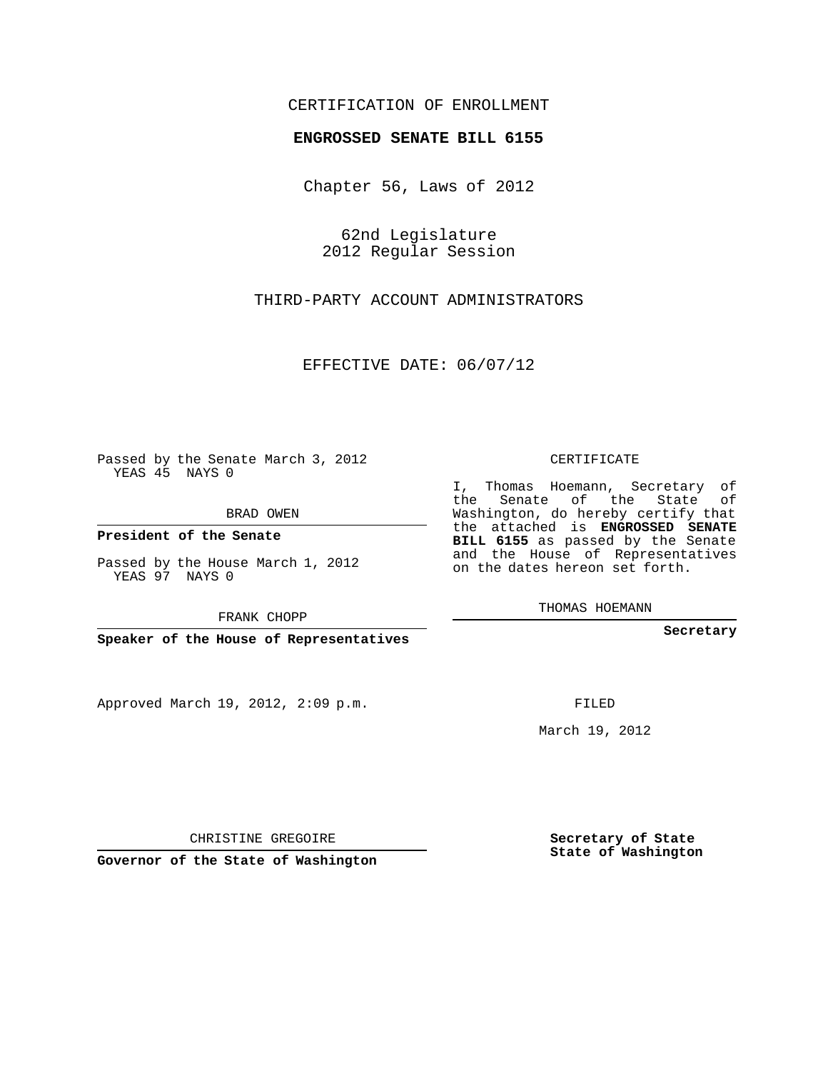## CERTIFICATION OF ENROLLMENT

## **ENGROSSED SENATE BILL 6155**

Chapter 56, Laws of 2012

62nd Legislature 2012 Regular Session

THIRD-PARTY ACCOUNT ADMINISTRATORS

EFFECTIVE DATE: 06/07/12

Passed by the Senate March 3, 2012 YEAS 45 NAYS 0

BRAD OWEN

**President of the Senate**

Passed by the House March 1, 2012 YEAS 97 NAYS 0

FRANK CHOPP

**Speaker of the House of Representatives**

Approved March 19, 2012, 2:09 p.m.

CERTIFICATE

I, Thomas Hoemann, Secretary of the Senate of the State of Washington, do hereby certify that the attached is **ENGROSSED SENATE BILL 6155** as passed by the Senate and the House of Representatives on the dates hereon set forth.

THOMAS HOEMANN

**Secretary**

FILED

March 19, 2012

**Secretary of State State of Washington**

CHRISTINE GREGOIRE

**Governor of the State of Washington**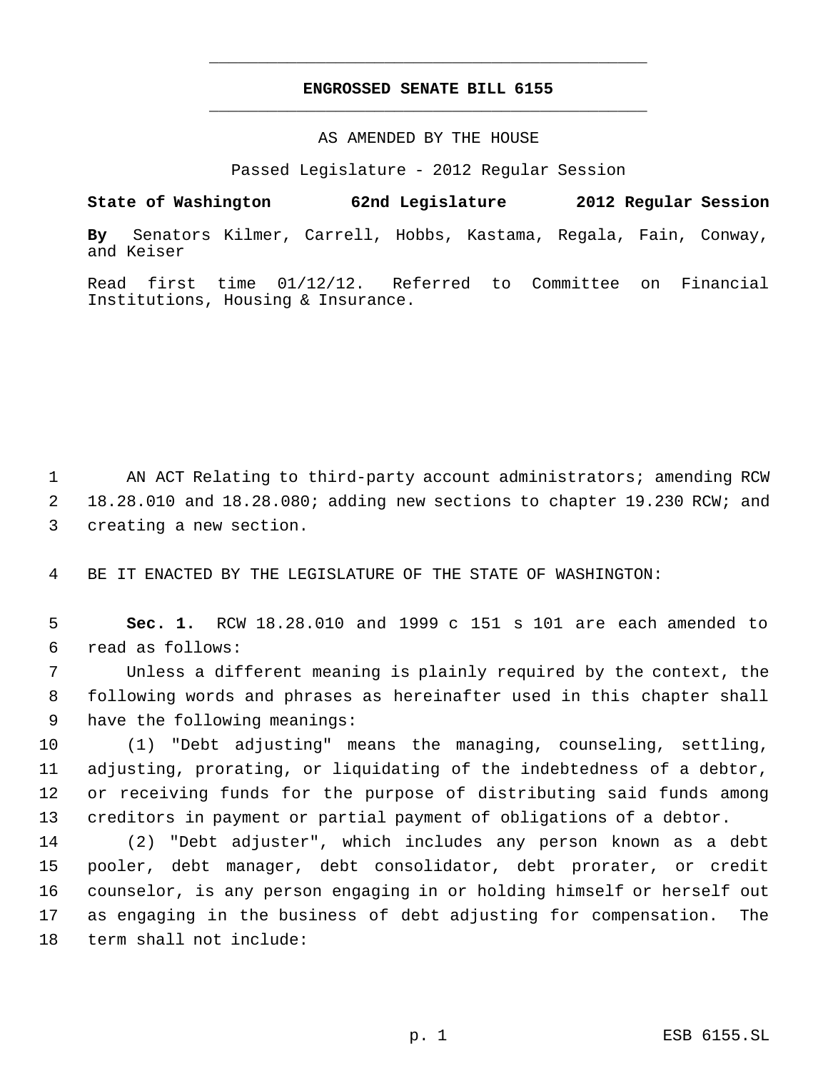## **ENGROSSED SENATE BILL 6155** \_\_\_\_\_\_\_\_\_\_\_\_\_\_\_\_\_\_\_\_\_\_\_\_\_\_\_\_\_\_\_\_\_\_\_\_\_\_\_\_\_\_\_\_\_

\_\_\_\_\_\_\_\_\_\_\_\_\_\_\_\_\_\_\_\_\_\_\_\_\_\_\_\_\_\_\_\_\_\_\_\_\_\_\_\_\_\_\_\_\_

AS AMENDED BY THE HOUSE

Passed Legislature - 2012 Regular Session

**State of Washington 62nd Legislature 2012 Regular Session**

**By** Senators Kilmer, Carrell, Hobbs, Kastama, Regala, Fain, Conway, and Keiser

Read first time 01/12/12. Referred to Committee on Financial Institutions, Housing & Insurance.

 AN ACT Relating to third-party account administrators; amending RCW 18.28.010 and 18.28.080; adding new sections to chapter 19.230 RCW; and creating a new section.

BE IT ENACTED BY THE LEGISLATURE OF THE STATE OF WASHINGTON:

 **Sec. 1.** RCW 18.28.010 and 1999 c 151 s 101 are each amended to read as follows:

 Unless a different meaning is plainly required by the context, the following words and phrases as hereinafter used in this chapter shall have the following meanings:

 (1) "Debt adjusting" means the managing, counseling, settling, adjusting, prorating, or liquidating of the indebtedness of a debtor, or receiving funds for the purpose of distributing said funds among creditors in payment or partial payment of obligations of a debtor.

 (2) "Debt adjuster", which includes any person known as a debt pooler, debt manager, debt consolidator, debt prorater, or credit counselor, is any person engaging in or holding himself or herself out as engaging in the business of debt adjusting for compensation. The term shall not include: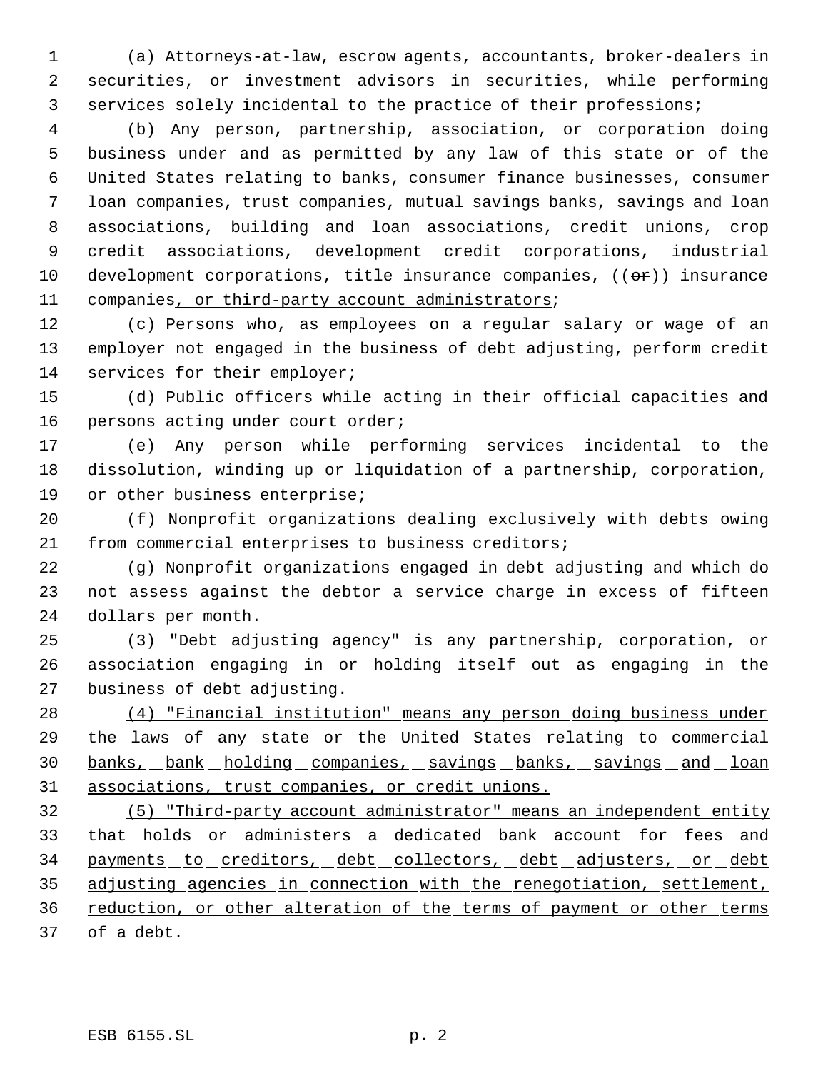(a) Attorneys-at-law, escrow agents, accountants, broker-dealers in securities, or investment advisors in securities, while performing services solely incidental to the practice of their professions;

 (b) Any person, partnership, association, or corporation doing business under and as permitted by any law of this state or of the United States relating to banks, consumer finance businesses, consumer loan companies, trust companies, mutual savings banks, savings and loan associations, building and loan associations, credit unions, crop credit associations, development credit corporations, industrial 10 development corporations, title insurance companies,  $((\theta \cdot \hat{r}))$  insurance companies, or third-party account administrators;

 (c) Persons who, as employees on a regular salary or wage of an employer not engaged in the business of debt adjusting, perform credit 14 services for their employer;

 (d) Public officers while acting in their official capacities and persons acting under court order;

 (e) Any person while performing services incidental to the dissolution, winding up or liquidation of a partnership, corporation, or other business enterprise;

 (f) Nonprofit organizations dealing exclusively with debts owing from commercial enterprises to business creditors;

 (g) Nonprofit organizations engaged in debt adjusting and which do not assess against the debtor a service charge in excess of fifteen dollars per month.

 (3) "Debt adjusting agency" is any partnership, corporation, or association engaging in or holding itself out as engaging in the business of debt adjusting.

 (4) "Financial institution" means any person doing business under 29 the laws of any state or the United States relating to commercial 30 banks, bank holding companies, savings banks, savings and loan associations, trust companies, or credit unions.

 (5) "Third-party account administrator" means an independent entity 33 that holds or administers a dedicated bank account for fees and 34 payments to creditors, debt collectors, debt adjusters, or debt adjusting agencies in connection with the renegotiation, settlement, reduction, or other alteration of the terms of payment or other terms of a debt.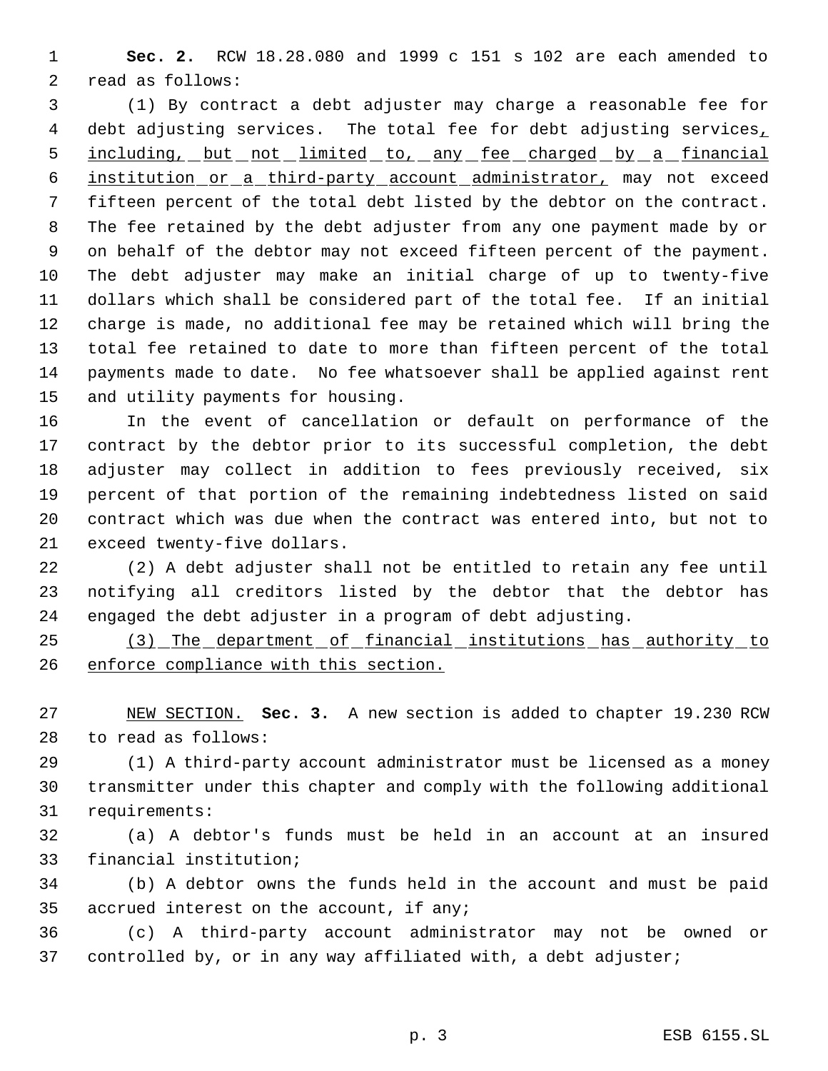**Sec. 2.** RCW 18.28.080 and 1999 c 151 s 102 are each amended to read as follows:

 (1) By contract a debt adjuster may charge a reasonable fee for 4 debt adjusting services. The total fee for debt adjusting services, 5 including, but not limited to, any fee charged by a financial institution or a third-party account administrator, may not exceed fifteen percent of the total debt listed by the debtor on the contract. The fee retained by the debt adjuster from any one payment made by or on behalf of the debtor may not exceed fifteen percent of the payment. The debt adjuster may make an initial charge of up to twenty-five dollars which shall be considered part of the total fee. If an initial charge is made, no additional fee may be retained which will bring the total fee retained to date to more than fifteen percent of the total payments made to date. No fee whatsoever shall be applied against rent and utility payments for housing.

 In the event of cancellation or default on performance of the contract by the debtor prior to its successful completion, the debt adjuster may collect in addition to fees previously received, six percent of that portion of the remaining indebtedness listed on said contract which was due when the contract was entered into, but not to exceed twenty-five dollars.

 (2) A debt adjuster shall not be entitled to retain any fee until notifying all creditors listed by the debtor that the debtor has engaged the debt adjuster in a program of debt adjusting.

 (3) The department of financial institutions has authority to enforce compliance with this section.

 NEW SECTION. **Sec. 3.** A new section is added to chapter 19.230 RCW to read as follows:

 (1) A third-party account administrator must be licensed as a money transmitter under this chapter and comply with the following additional requirements:

 (a) A debtor's funds must be held in an account at an insured financial institution;

 (b) A debtor owns the funds held in the account and must be paid accrued interest on the account, if any;

 (c) A third-party account administrator may not be owned or controlled by, or in any way affiliated with, a debt adjuster;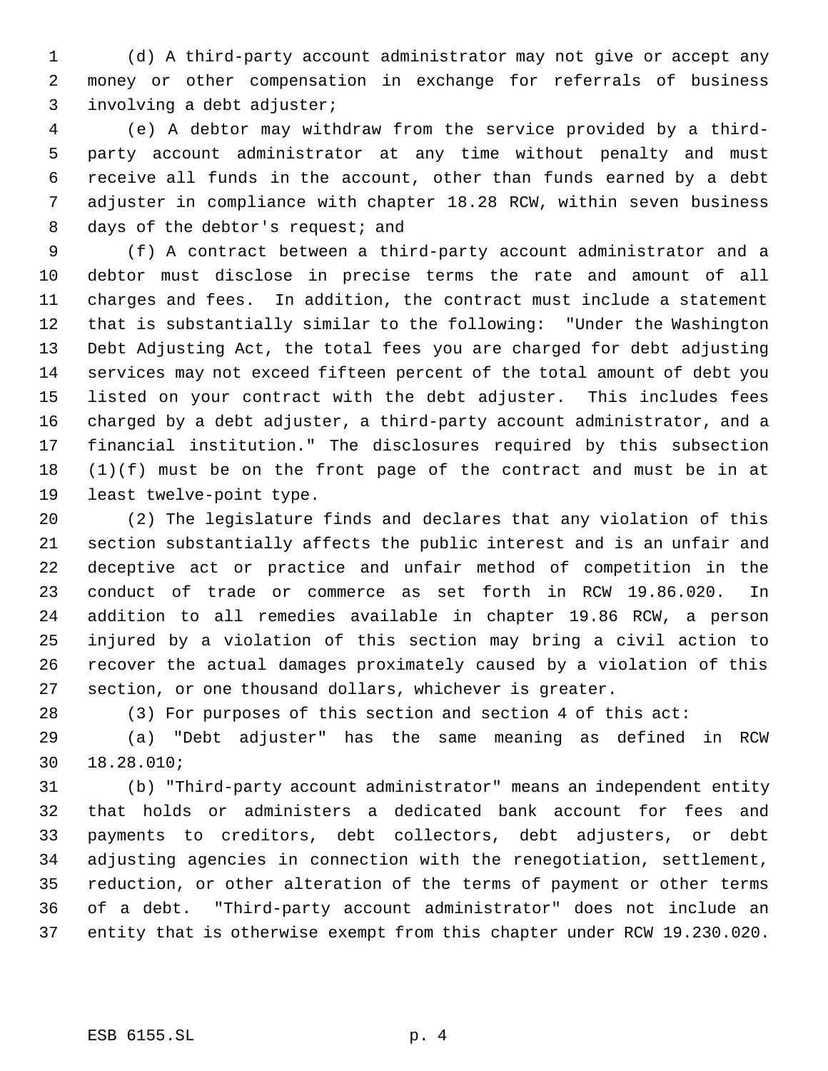(d) A third-party account administrator may not give or accept any money or other compensation in exchange for referrals of business involving a debt adjuster;

 (e) A debtor may withdraw from the service provided by a third- party account administrator at any time without penalty and must receive all funds in the account, other than funds earned by a debt adjuster in compliance with chapter 18.28 RCW, within seven business 8 days of the debtor's request; and

 (f) A contract between a third-party account administrator and a debtor must disclose in precise terms the rate and amount of all charges and fees. In addition, the contract must include a statement that is substantially similar to the following: "Under the Washington Debt Adjusting Act, the total fees you are charged for debt adjusting services may not exceed fifteen percent of the total amount of debt you listed on your contract with the debt adjuster. This includes fees charged by a debt adjuster, a third-party account administrator, and a financial institution." The disclosures required by this subsection (1)(f) must be on the front page of the contract and must be in at least twelve-point type.

 (2) The legislature finds and declares that any violation of this section substantially affects the public interest and is an unfair and deceptive act or practice and unfair method of competition in the conduct of trade or commerce as set forth in RCW 19.86.020. In addition to all remedies available in chapter 19.86 RCW, a person injured by a violation of this section may bring a civil action to recover the actual damages proximately caused by a violation of this section, or one thousand dollars, whichever is greater.

(3) For purposes of this section and section 4 of this act:

 (a) "Debt adjuster" has the same meaning as defined in RCW 18.28.010;

 (b) "Third-party account administrator" means an independent entity that holds or administers a dedicated bank account for fees and payments to creditors, debt collectors, debt adjusters, or debt adjusting agencies in connection with the renegotiation, settlement, reduction, or other alteration of the terms of payment or other terms of a debt. "Third-party account administrator" does not include an entity that is otherwise exempt from this chapter under RCW 19.230.020.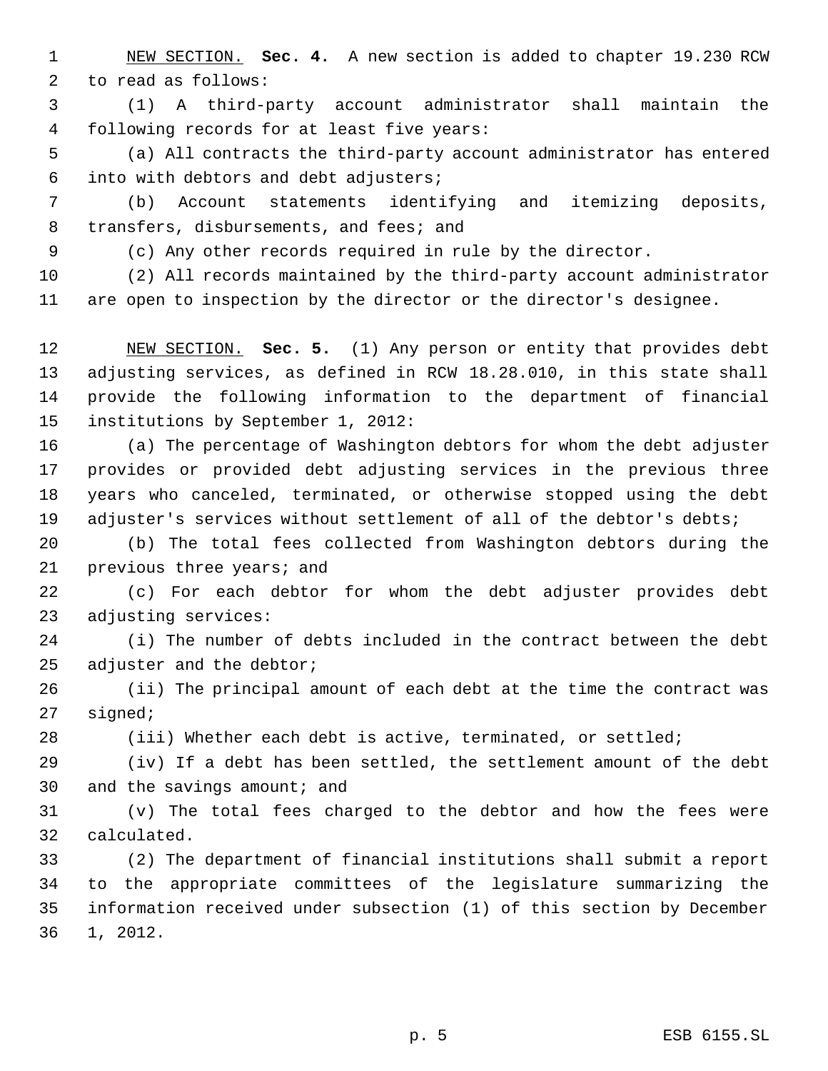NEW SECTION. **Sec. 4.** A new section is added to chapter 19.230 RCW to read as follows:

 (1) A third-party account administrator shall maintain the following records for at least five years:

 (a) All contracts the third-party account administrator has entered into with debtors and debt adjusters;

 (b) Account statements identifying and itemizing deposits, 8 transfers, disbursements, and fees; and

(c) Any other records required in rule by the director.

 (2) All records maintained by the third-party account administrator are open to inspection by the director or the director's designee.

 NEW SECTION. **Sec. 5.** (1) Any person or entity that provides debt adjusting services, as defined in RCW 18.28.010, in this state shall provide the following information to the department of financial institutions by September 1, 2012:

 (a) The percentage of Washington debtors for whom the debt adjuster provides or provided debt adjusting services in the previous three years who canceled, terminated, or otherwise stopped using the debt 19 adjuster's services without settlement of all of the debtor's debts;

 (b) The total fees collected from Washington debtors during the previous three years; and

 (c) For each debtor for whom the debt adjuster provides debt adjusting services:

 (i) The number of debts included in the contract between the debt 25 adjuster and the debtor;

 (ii) The principal amount of each debt at the time the contract was signed;

(iii) Whether each debt is active, terminated, or settled;

 (iv) If a debt has been settled, the settlement amount of the debt and the savings amount; and

 (v) The total fees charged to the debtor and how the fees were calculated.

 (2) The department of financial institutions shall submit a report to the appropriate committees of the legislature summarizing the information received under subsection (1) of this section by December 1, 2012.